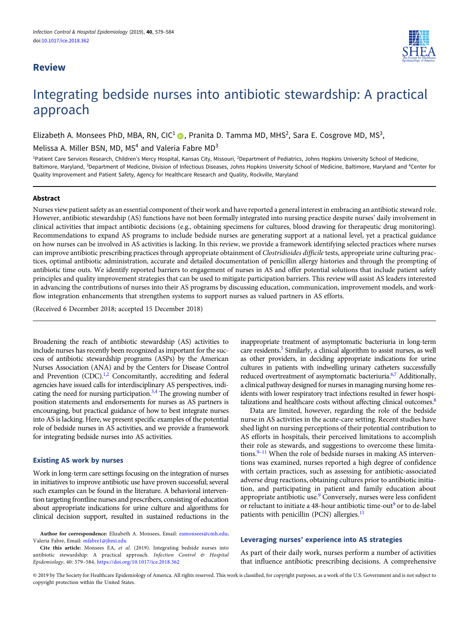# Review



# Integrating bedside nurses into antibiotic stewardship: A practical approach

Elizabeth A. Monsees PhD, MBA, RN, CIC<sup>1</sup> (D), Pranita D. Tamma MD, MHS<sup>2</sup>, Sara E. Cosgrove MD, MS<sup>3</sup>,

Melissa A. Miller BSN, MD, MS<sup>4</sup> and Valeria Fabre  $MD<sup>3</sup>$ 

<sup>1</sup>Patient Care Services Research, Children's Mercy Hospital, Kansas City, Missouri, <sup>2</sup>Department of Pediatrics, Johns Hopkins University School of Medicine, Baltimore, Maryland, <sup>3</sup>Department of Medicine, Division of Infectious Diseases, Johns Hopkins University School of Medicine, Baltimore, Maryland and <sup>4</sup>Center for Quality Improvement and Patient Safety, Agency for Healthcare Research and Quality, Rockville, Maryland

# Abstract

Nurses view patient safety as an essential component of their work and have reported a general interest in embracing an antibiotic steward role. However, antibiotic stewardship (AS) functions have not been formally integrated into nursing practice despite nurses' daily involvement in clinical activities that impact antibiotic decisions (e.g., obtaining specimens for cultures, blood drawing for therapeutic drug monitoring). Recommendations to expand AS programs to include bedside nurses are generating support at a national level, yet a practical guidance on how nurses can be involved in AS activities is lacking. In this review, we provide a framework identifying selected practices where nurses can improve antibiotic prescribing practices through appropriate obtainment of Clostridioides difficile tests, appropriate urine culturing practices, optimal antibiotic administration, accurate and detailed documentation of penicillin allergy histories and through the prompting of antibiotic time outs. We identify reported barriers to engagement of nurses in AS and offer potential solutions that include patient safety principles and quality improvement strategies that can be used to mitigate participation barriers. This review will assist AS leaders interested in advancing the contributions of nurses into their AS programs by discussing education, communication, improvement models, and workflow integration enhancements that strengthen systems to support nurses as valued partners in AS efforts.

(Received 6 December 2018; accepted 15 December 2018)

Broadening the reach of antibiotic stewardship (AS) activities to include nurses has recently been recognized as important for the success of antibiotic stewardship programs (ASPs) by the American Nurses Association (ANA) and by the Centers for Disease Control and Prevention  $(CDC)$ .<sup>1,[2](#page-4-0)</sup> Concomitantly, accrediting and federal agencies have issued calls for interdisciplinary AS perspectives, indi-cating the need for nursing participation.<sup>[3,4](#page-4-0)</sup> The growing number of position statements and endorsements for nurses as AS partners is encouraging, but practical guidance of how to best integrate nurses into AS is lacking. Here, we present specific examples of the potential role of bedside nurses in AS activities, and we provide a framework for integrating bedside nurses into AS activities.

# Existing AS work by nurses

Work in long-term care settings focusing on the integration of nurses in initiatives to improve antibiotic use have proven successful; several such examples can be found in the literature. A behavioral intervention targeting frontline nurses and prescribers, consisting of education about appropriate indications for urine culture and algorithms for clinical decision support, resulted in sustained reductions in the inappropriate treatment of asymptomatic bacteriuria in long-term care residents.<sup>5</sup> Similarly, a clinical algorithm to assist nurses, as well as other providers, in deciding appropriate indications for urine cultures in patients with indwelling urinary catheters successfully reduced overtreatment of asymptomatic bacteriuria.<sup>6,[7](#page-4-0)</sup> Additionally, a clinical pathway designed for nurses in managing nursing home residents with lower respiratory tract infections resulted in fewer hospitalizations and healthcare costs without affecting clinical outcomes.<sup>8</sup>

Data are limited, however, regarding the role of the bedside nurse in AS activities in the acute-care setting. Recent studies have shed light on nursing perceptions of their potential contribution to AS efforts in hospitals, their perceived limitations to accomplish their role as stewards, and suggestions to overcome these limita-tions.<sup>[9](#page-4-0)-[11](#page-4-0)</sup> When the role of bedside nurses in making AS interventions was examined, nurses reported a high degree of confidence with certain practices, such as assessing for antibiotic-associated adverse drug reactions, obtaining cultures prior to antibiotic initiation, and participating in patient and family education about appropriate antibiotic use.[9](#page-4-0) Conversely, nurses were less confident or reluctant to initiate a 48-hour antibiotic time-out<sup>[9](#page-4-0)</sup> or to de-label patients with penicillin (PCN) allergies. $^{11}$  $^{11}$  $^{11}$ 

# Leveraging nurses' experience into AS strategies

As part of their daily work, nurses perform a number of activities that influence antibiotic prescribing decisions. A comprehensive

© 2019 by The Society for Healthcare Epidemiology of America. All rights reserved. This work is classified, for copyright purposes, as a work of the U.S. Government and is not subject to copyright protection within the United States.

Author for correspondence: Elizabeth A. Monsees, Email: [eamonsees@cmh.edu](mailto:eamonsees@cmh.edu); Valeria Fabre, Email: [mfabre1@jhmi.edu](mailto:mfabre1@jhmi.edu)

Cite this article: Monsees EA, et al. (2019). Integrating bedside nurses into antibiotic stewardship: A practical approach. Infection Control & Hospital Epidemiology, 40: 579–584, <https://doi.org/10.1017/ice.2018.362>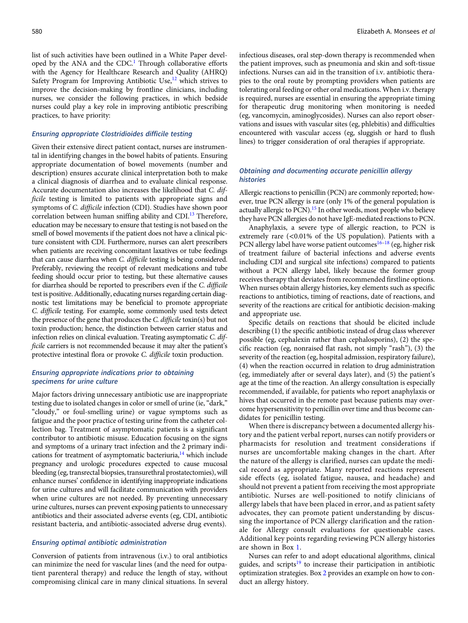list of such activities have been outlined in a White Paper devel-oped by the ANA and the CDC.<sup>[1](#page-4-0)</sup> Through collaborative efforts with the Agency for Healthcare Research and Quality (AHRQ) Safety Program for Improving Antibiotic Use, $12$  which strives to improve the decision-making by frontline clinicians, including nurses, we consider the following practices, in which bedside nurses could play a key role in improving antibiotic prescribing practices, to have priority:

#### Ensuring appropriate Clostridioides difficile testing

Given their extensive direct patient contact, nurses are instrumental in identifying changes in the bowel habits of patients. Ensuring appropriate documentation of bowel movements (number and description) ensures accurate clinical interpretation both to make a clinical diagnosis of diarrhea and to evaluate clinical response. Accurate documentation also increases the likelihood that C. difficile testing is limited to patients with appropriate signs and symptoms of C. difficile infection (CDI). Studies have shown poor correlation between human sniffing ability and CDI.<sup>[13](#page-5-0)</sup> Therefore, education may be necessary to ensure that testing is not based on the smell of bowel movements if the patient does not have a clinical picture consistent with CDI. Furthermore, nurses can alert prescribers when patients are receiving concomitant laxatives or tube feedings that can cause diarrhea when C. difficile testing is being considered. Preferably, reviewing the receipt of relevant medications and tube feeding should occur prior to testing, but these alternative causes for diarrhea should be reported to prescribers even if the C. difficile test is positive. Additionally, educating nurses regarding certain diagnostic test limitations may be beneficial to promote appropriate C. difficile testing. For example, some commonly used tests detect the presence of the gene that produces the C. difficile toxin(s) but not toxin production; hence, the distinction between carrier status and infection relies on clinical evaluation. Treating asymptomatic C. difficile carriers is not recommended because it may alter the patient's protective intestinal flora or provoke C. difficile toxin production.

# Ensuring appropriate indications prior to obtaining specimens for urine culture

Major factors driving unnecessary antibiotic use are inappropriate testing due to isolated changes in color or smell of urine (ie,"dark," "cloudy," or foul-smelling urine) or vague symptoms such as fatigue and the poor practice of testing urine from the catheter collection bag. Treatment of asymptomatic patients is a significant contributor to antibiotic misuse. Education focusing on the signs and symptoms of a urinary tract infection and the 2 primary indications for treatment of asymptomatic bacteriuria, $^{14}$  which include pregnancy and urologic procedures expected to cause mucosal bleeding (eg, transrectal biopsies, transurethral prostatectomies), will enhance nurses' confidence in identifying inappropriate indications for urine cultures and will facilitate communication with providers when urine cultures are not needed. By preventing unnecessary urine cultures, nurses can prevent exposing patients to unnecessary antibiotics and their associated adverse events (eg, CDI, antibiotic resistant bacteria, and antibiotic-associated adverse drug events).

### Ensuring optimal antibiotic administration

Conversion of patients from intravenous (i.v.) to oral antibiotics can minimize the need for vascular lines (and the need for outpatient parenteral therapy) and reduce the length of stay, without compromising clinical care in many clinical situations. In several

infectious diseases, oral step-down therapy is recommended when the patient improves, such as pneumonia and skin and soft-tissue infections. Nurses can aid in the transition of i.v. antibiotic therapies to the oral route by prompting providers when patients are tolerating oral feeding or other oral medications. When i.v. therapy is required, nurses are essential in ensuring the appropriate timing for therapeutic drug monitoring when monitoring is needed (eg, vancomycin, aminoglycosides). Nurses can also report observations and issues with vascular sites (eg, phlebitis) and difficulties encountered with vascular access (eg, sluggish or hard to flush lines) to trigger consideration of oral therapies if appropriate.

# Obtaining and documenting accurate penicillin allergy histories

Allergic reactions to penicillin (PCN) are commonly reported; however, true PCN allergy is rare (only 1% of the general population is actually allergic to PCN).<sup>15</sup> In other words, most people who believe they have PCN allergies do not have IgE-mediated reactions to PCN.

Anaphylaxis, a severe type of allergic reaction, to PCN is extremely rare (<0.01% of the US population). Patients with a PCN allergy label have worse patient outcomes<sup>[16](#page-5-0)-[18](#page-5-0)</sup> (eg, higher risk of treatment failure of bacterial infections and adverse events including CDI and surgical site infections) compared to patients without a PCN allergy label, likely because the former group receives therapy that deviates from recommended firstline options. When nurses obtain allergy histories, key elements such as specific reactions to antibiotics, timing of reactions, date of reactions, and severity of the reactions are critical for antibiotic decision-making and appropriate use.

Specific details on reactions that should be elicited include describing (1) the specific antibiotic instead of drug class wherever possible (eg, cephalexin rather than cephalosporins), (2) the specific reaction (eg, nonraised flat rash, not simply "rash"), (3) the severity of the reaction (eg, hospital admission, respiratory failure), (4) when the reaction occurred in relation to drug administration (eg, immediately after or several days later), and (5) the patient's age at the time of the reaction. An allergy consultation is especially recommended, if available, for patients who report anaphylaxis or hives that occurred in the remote past because patients may overcome hypersensitivity to penicillin over time and thus become candidates for penicillin testing.

When there is discrepancy between a documented allergy history and the patient verbal report, nurses can notify providers or pharmacists for resolution and treatment considerations if nurses are uncomfortable making changes in the chart. After the nature of the allergy is clarified, nurses can update the medical record as appropriate. Many reported reactions represent side effects (eg, isolated fatigue, nausea, and headache) and should not prevent a patient from receiving the most appropriate antibiotic. Nurses are well-positioned to notify clinicians of allergy labels that have been placed in error, and as patient safety advocates, they can promote patient understanding by discussing the importance of PCN allergy clarification and the rationale for Allergy consult evaluations for questionable cases. Additional key points regarding reviewing PCN allergy histories are shown in Box [1](#page-2-0).

Nurses can refer to and adopt educational algorithms, clinical guides, and scripts<sup>[19](#page-5-0)</sup> to increase their participation in antibiotic optimization strategies. Box [2](#page-2-0) provides an example on how to conduct an allergy history.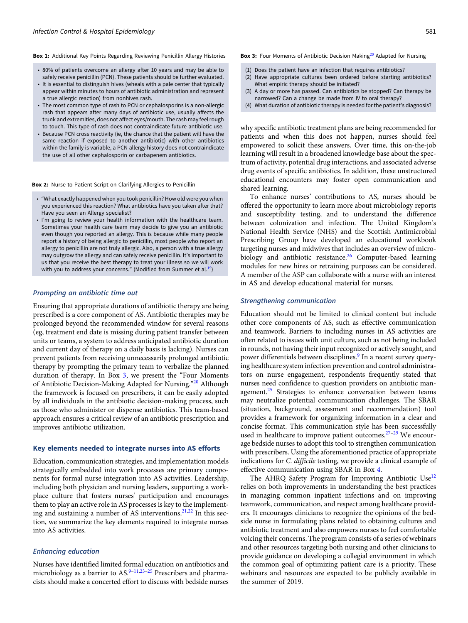<span id="page-2-0"></span>Box 1: Additional Key Points Regarding Reviewing Penicillin Allergy Histories

- 80% of patients overcome an allergy after 10 years and may be able to safely receive penicillin (PCN). These patients should be further evaluated.
- It is essential to distinguish hives (wheals with a pale center that typically appear within minutes to hours of antibiotic administration and represent a true allergic reaction) from nonhives rash.
- The most common type of rash to PCN or cephalosporins is a non-allergic rash that appears after many days of antibiotic use, usually affects the trunk and extremities, does not affect eyes/mouth. The rash may feel rough to touch. This type of rash does not contraindicate future antibiotic use.
- Because PCN cross reactivity (ie, the chance that the patient will have the same reaction if exposed to another antibiotic) with other antibiotics within the family is variable, a PCN allergy history does not contraindicate the use of all other cephalosporin or carbapenem antibiotics.

Box 2: Nurse-to-Patient Script on Clarifying Allergies to Penicillin

- "What exactly happened when you took penicillin? How old were you when you experienced this reaction? What antibiotics have you taken after that? Have you seen an Allergy specialist?
- I'm going to review your health information with the healthcare team. Sometimes your health care team may decide to give you an antibiotic even though you reported an allergy. This is because while many people report a history of being allergic to penicillin, most people who report an allergy to penicillin are not truly allergic. Also, a person with a true allergy may outgrow the allergy and can safely receive penicillin. It's important to us that you receive the best therapy to treat your illness so we will work with you to address your concerns." (Modified from Summer et al. $^{19}$  $^{19}$  $^{19}$ )

# Prompting an antibiotic time out

Ensuring that appropriate durations of antibiotic therapy are being prescribed is a core component of AS. Antibiotic therapies may be prolonged beyond the recommended window for several reasons (eg, treatment end date is missing during patient transfer between units or teams, a system to address anticipated antibiotic duration and current day of therapy on a daily basis is lacking). Nurses can prevent patients from receiving unnecessarily prolonged antibiotic therapy by prompting the primary team to verbalize the planned duration of therapy. In Box 3, we present the "Four Moments of Antibiotic Decision-Making Adapted for Nursing."[20](#page-5-0) Although the framework is focused on prescribers, it can be easily adopted by all individuals in the antibiotic decision-making process, such as those who administer or dispense antibiotics. This team-based approach ensures a critical review of an antibiotic prescription and improves antibiotic utilization.

#### Key elements needed to integrate nurses into AS efforts

Education, communication strategies, and implementation models strategically embedded into work processes are primary components for formal nurse integration into AS activities. Leadership, including both physician and nursing leaders, supporting a workplace culture that fosters nurses' participation and encourages them to play an active role in AS processes is key to the implement-ing and sustaining a number of AS interventions.<sup>[21,22](#page-5-0)</sup> In this section, we summarize the key elements required to integrate nurses into AS activities.

#### Enhancing education

Nurses have identified limited formal education on antibiotics and microbiology as a barrier to  $AS^{9-11,23-25}$  $AS^{9-11,23-25}$  $AS^{9-11,23-25}$  $AS^{9-11,23-25}$  $AS^{9-11,23-25}$  $AS^{9-11,23-25}$  $AS^{9-11,23-25}$  $AS^{9-11,23-25}$  Prescribers and pharmacists should make a concerted effort to discuss with bedside nurses

#### Box 3: Four Moments of Antibiotic Decision Making<sup>[20](#page-5-0)</sup> Adapted for Nursing

- (1) Does the patient have an infection that requires antibiotics?
- (2) Have appropriate cultures been ordered before starting antibiotics? What empiric therapy should be initiated?
- (3) A day or more has passed. Can antibiotics be stopped? Can therapy be narrowed? Can a change be made from IV to oral therapy?
- (4) What duration of antibiotic therapy is needed for the patient's diagnosis?

why specific antibiotic treatment plans are being recommended for patients and when this does not happen, nurses should feel empowered to solicit these answers. Over time, this on-the-job learning will result in a broadened knowledge base about the spectrum of activity, potential drug interactions, and associated adverse drug events of specific antibiotics. In addition, these unstructured educational encounters may foster open communication and shared learning.

To enhance nurses' contributions to AS, nurses should be offered the opportunity to learn more about microbiology reports and susceptibility testing, and to understand the difference between colonization and infection. The United Kingdom's National Health Service (NHS) and the Scottish Antimicrobial Prescribing Group have developed an educational workbook targeting nurses and midwives that includes an overview of micro-biology and antibiotic resistance.<sup>[26](#page-5-0)</sup> Computer-based learning modules for new hires or retraining purposes can be considered. A member of the ASP can collaborate with a nurse with an interest in AS and develop educational material for nurses.

#### Strengthening communication

Education should not be limited to clinical content but include other core components of AS, such as effective communication and teamwork. Barriers to including nurses in AS activities are often related to issues with unit culture, such as not being included in rounds, not having their input recognized or actively sought, and power differentials between disciplines.<sup>[9](#page-4-0)</sup> In a recent survey querying healthcare system infection prevention and control administrators on nurse engagement, respondents frequently stated that nurses need confidence to question providers on antibiotic man-agement.<sup>[25](#page-5-0)</sup> Strategies to enhance conversation between teams may neutralize potential communication challenges. The SBAR (situation, background, assessment and recommendation) tool provides a framework for organizing information in a clear and concise format. This communication style has been successfully used in healthcare to improve patient outcomes.<sup>[27](#page-5-0)-[29](#page-5-0)</sup> We encourage bedside nurses to adopt this tool to strengthen communication with prescribers. Using the aforementioned practice of appropriate indications for C. difficile testing, we provide a clinical example of effective communication using SBAR in Box [4](#page-3-0).

The AHRQ Safety Program for Improving Antibiotic Use<sup>[12](#page-4-0)</sup> relies on both improvements in understanding the best practices in managing common inpatient infections and on improving teamwork, communication, and respect among healthcare providers. It encourages clinicians to recognize the opinions of the bedside nurse in formulating plans related to obtaining cultures and antibiotic treatment and also empowers nurses to feel comfortable voicing their concerns. The program consists of a series of webinars and other resources targeting both nursing and other clinicians to provide guidance on developing a collegial environment in which the common goal of optimizing patient care is a priority. These webinars and resources are expected to be publicly available in the summer of 2019.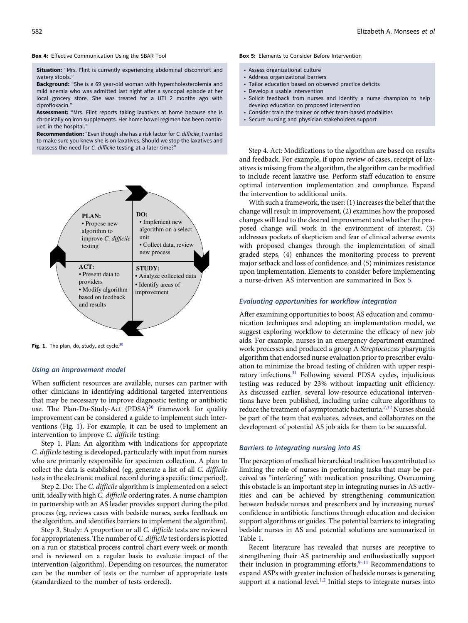#### <span id="page-3-0"></span>Box 4: Effective Communication Using the SBAR Tool

Situation: "Mrs. Flint is currently experiencing abdominal discomfort and watery stools."

Background: "She is a 69 year-old woman with hypercholesterolemia and mild anemia who was admitted last night after a syncopal episode at her local grocery store. She was treated for a UTI 2 months ago with ciprofloxacin.'

Assessment: "Mrs. Flint reports taking laxatives at home because she is chronically on iron supplements. Her home bowel regimen has been continued in the hospital."

Recommendation: "Even though she has a risk factor for C. difficile, I wanted to make sure you knew she is on laxatives. Should we stop the laxatives and reassess the need for C. difficile testing at a later time?"



Fig. 1. The plan, do, study, act cycle.<sup>[30](#page-5-0)</sup>

#### Using an improvement model

When sufficient resources are available, nurses can partner with other clinicians in identifying additional targeted interventions that may be necessary to improve diagnostic testing or antibiotic use. The Plan-Do-Study-Act  $(PDSA)^{30}$  $(PDSA)^{30}$  $(PDSA)^{30}$  framework for quality improvement can be considered a guide to implement such interventions (Fig. 1). For example, it can be used to implement an intervention to improve C. difficile testing:

Step 1. Plan: An algorithm with indications for appropriate C. difficile testing is developed, particularly with input from nurses who are primarily responsible for specimen collection. A plan to collect the data is established (eg, generate a list of all C. difficile tests in the electronic medical record during a specific time period).

Step 2. Do: The C. difficile algorithm is implemented on a select unit, ideally with high C. difficile ordering rates. A nurse champion in partnership with an AS leader provides support during the pilot process (eg, reviews cases with bedside nurses, seeks feedback on the algorithm, and identifies barriers to implement the algorithm).

Step 3. Study: A proportion or all C. difficile tests are reviewed for appropriateness. The number of C. difficile test orders is plotted on a run or statistical process control chart every week or month and is reviewed on a regular basis to evaluate impact of the intervention (algorithm). Depending on resources, the numerator can be the number of tests or the number of appropriate tests (standardized to the number of tests ordered).

#### Box 5: Elements to Consider Before Intervention

- Assess organizational culture
- Address organizational barriers
- Tailor education based on observed practice deficits
- Develop a usable intervention
- Solicit feedback from nurses and identify a nurse champion to help develop education on proposed intervention
- Consider train the trainer or other team-based modalities
- Secure nursing and physician stakeholders support

Step 4. Act: Modifications to the algorithm are based on results and feedback. For example, if upon review of cases, receipt of laxatives is missing from the algorithm, the algorithm can be modified to include recent laxative use. Perform staff education to ensure optimal intervention implementation and compliance. Expand the intervention to additional units.

With such a framework, the user: (1) increases the belief that the change will result in improvement, (2) examines how the proposed changes will lead to the desired improvement and whether the proposed change will work in the environment of interest, (3) addresses pockets of skepticism and fear of clinical adverse events with proposed changes through the implementation of small graded steps, (4) enhances the monitoring process to prevent major setback and loss of confidence, and (5) minimizes resistance upon implementation. Elements to consider before implementing a nurse-driven AS intervention are summarized in Box 5.

# Evaluating opportunities for workflow integration

After examining opportunities to boost AS education and communication techniques and adopting an implementation model, we suggest exploring workflow to determine the efficacy of new job aids. For example, nurses in an emergency department examined work processes and produced a group A Streptococcus pharyngitis algorithm that endorsed nurse evaluation prior to prescriber evaluation to minimize the broad testing of children with upper respiratory infections.[31](#page-5-0) Following several PDSA cycles, injudicious testing was reduced by 23% without impacting unit efficiency. As discussed earlier, several low-resource educational interventions have been published, including urine culture algorithms to reduce the treatment of asymptomatic bacteriuria.<sup>7,[32](#page-5-0)</sup> Nurses should be part of the team that evaluates, advises, and collaborates on the development of potential AS job aids for them to be successful.

#### Barriers to integrating nursing into AS

The perception of medical hierarchical tradition has contributed to limiting the role of nurses in performing tasks that may be perceived as "interfering" with medication prescribing. Overcoming this obstacle is an important step in integrating nurses in AS activities and can be achieved by strengthening communication between bedside nurses and prescribers and by increasing nurses' confidence in antibiotic functions through education and decision support algorithms or guides. The potential barriers to integrating bedside nurses in AS and potential solutions are summarized in Table [1](#page-4-0).

Recent literature has revealed that nurses are receptive to strengthening their AS partnership and enthusiastically support their inclusion in programming efforts.<sup>[9](#page-4-0)-[11](#page-4-0)</sup> Recommendations to expand ASPs with greater inclusion of bedside nurses is generating support at a national level.<sup>[1,2](#page-4-0)</sup> Initial steps to integrate nurses into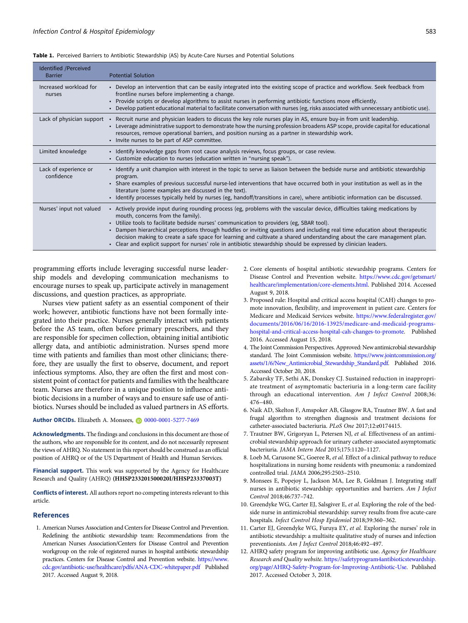<span id="page-4-0"></span>

| Identified /Perceived<br><b>Barrier</b> | <b>Potential Solution</b>                                                                                                                                                                                                                                                                                                                                                                                                                                                                                                                                                                                                                     |
|-----------------------------------------|-----------------------------------------------------------------------------------------------------------------------------------------------------------------------------------------------------------------------------------------------------------------------------------------------------------------------------------------------------------------------------------------------------------------------------------------------------------------------------------------------------------------------------------------------------------------------------------------------------------------------------------------------|
| Increased workload for<br>nurses        | • Develop an intervention that can be easily integrated into the existing scope of practice and workflow. Seek feedback from<br>frontline nurses before implementing a change.<br>. Provide scripts or develop algorithms to assist nurses in performing antibiotic functions more efficiently.<br>• Develop patient educational material to facilitate conversation with nurses (eg, risks associated with unnecessary antibiotic use).                                                                                                                                                                                                      |
| Lack of physician support               | • Recruit nurse and physician leaders to discuss the key role nurses play in AS, ensure buy-in from unit leadership.<br>• Leverage administrative support to demonstrate how the nursing profession broadens ASP scope, provide capital for educational<br>resources, remove operational barriers, and position nursing as a partner in stewardship work.<br>• Invite nurses to be part of ASP committee.                                                                                                                                                                                                                                     |
| Limited knowledge                       | • Identify knowledge gaps from root cause analysis reviews, focus groups, or case review.<br>• Customize education to nurses (education written in "nursing speak").                                                                                                                                                                                                                                                                                                                                                                                                                                                                          |
| Lack of experience or<br>confidence     | • Identify a unit champion with interest in the topic to serve as liaison between the bedside nurse and antibiotic stewardship<br>program.<br>• Share examples of previous successful nurse-led interventions that have occurred both in your institution as well as in the<br>literature (some examples are discussed in the text).<br>• Identify processes typically held by nurses (eg, handoff/transitions in care), where antibiotic information can be discussed.                                                                                                                                                                       |
| Nurses' input not valued                | • Actively provide input during rounding process (eg, problems with the vascular device, difficulties taking medications by<br>mouth, concerns from the family).<br>. Utilize tools to facilitate bedside nurses' communication to providers (eg, SBAR tool).<br>• Dampen hierarchical perceptions through huddles or inviting questions and including real time education about therapeutic<br>decision making to create a safe space for learning and cultivate a shared understanding about the care management plan.<br>• Clear and explicit support for nurses' role in antibiotic stewardship should be expressed by clinician leaders. |

programming efforts include leveraging successful nurse leadership models and developing communication mechanisms to encourage nurses to speak up, participate actively in management discussions, and question practices, as appropriate.

Nurses view patient safety as an essential component of their work; however, antibiotic functions have not been formally integrated into their practice. Nurses generally interact with patients before the AS team, often before primary prescribers, and they are responsible for specimen collection, obtaining initial antibiotic allergy data, and antibiotic administration. Nurses spend more time with patients and families than most other clinicians; therefore, they are usually the first to observe, document, and report infectious symptoms. Also, they are often the first and most consistent point of contact for patients and families with the healthcare team. Nurses are therefore in a unique position to influence antibiotic decisions in a number of ways and to ensure safe use of antibiotics. Nurses should be included as valued partners in AS efforts.

#### Author ORCIDs. Elizabeth A. Monsees, 0[0000-0001-5277-7469](https://orcid.org/0000-0001-5277-7469)

Acknowledgments. The findings and conclusions in this document are those of the authors, who are responsible for its content, and do not necessarily represent the views of AHRQ. No statement in this report should be construed as an official position of AHRQ or of the US Department of Health and Human Services.

Financial support. This work was supported by the Agency for Healthcare Research and Quality (AHRQ) (HHSP233201500020I/HHSP23337003T)

Conflicts of interest. All authors report no competing interests relevant to this article.

#### References

1. American Nurses Association and Centers for Disease Control and Prevention. Redefining the antibiotic stewardship team: Recommendations from the American Nurses Association/Centers for Disease Control and Prevention workgroup on the role of registered nurses in hospital antibiotic stewardship practices. Centers for Disease Control and Prevention website. [https://www.](https://www.cdc.gov/antibiotic-use/healthcare/pdfs/ANA-CDC-whitepaper.pdf) [cdc.gov/antibiotic-use/healthcare/pdfs/ANA-CDC-whitepaper.pdf](https://www.cdc.gov/antibiotic-use/healthcare/pdfs/ANA-CDC-whitepaper.pdf) Published 2017. Accessed August 9, 2018.

- 2. Core elements of hospital antibiotic stewardship programs. Centers for Disease Control and Prevention website. [https://www.cdc.gov/getsmart/](https://www.cdc.gov/getsmart/healthcare/implementation/core-elements.html) [healthcare/implementation/core-elements.html.](https://www.cdc.gov/getsmart/healthcare/implementation/core-elements.html) Published 2014. Accessed August 9, 2018.
- 3. Proposed rule: Hospital and critical access hospital (CAH) changes to promote innovation, flexibility, and improvement in patient care. Centers for Medicare and Medicaid Services website. [https://www.federalregister.gov/](https://www.federalregister.gov/documents/2016/06/16/2016-13925/medicare-and-medicaid-programs-hospital-and-critical-access-hospital-cah-changes-to-promote) [documents/2016/06/16/2016-13925/medicare-and-medicaid-programs](https://www.federalregister.gov/documents/2016/06/16/2016-13925/medicare-and-medicaid-programs-hospital-and-critical-access-hospital-cah-changes-to-promote)[hospital-and-critical-access-hospital-cah-changes-to-promote.](https://www.federalregister.gov/documents/2016/06/16/2016-13925/medicare-and-medicaid-programs-hospital-and-critical-access-hospital-cah-changes-to-promote) Published 2016. Accessed August 15, 2018.
- 4. The Joint Commission Perspectives. Approved: New antimicrobial stewardship standard. The Joint Commission website. [https://www.jointcommission.org/](https://www.jointcommission.org/assets/1/6/New_Antimicrobial_Stewardship_Standard.pdf) [assets/1/6/New\\_Antimicrobial\\_Stewardship\\_Standard.pdf.](https://www.jointcommission.org/assets/1/6/New_Antimicrobial_Stewardship_Standard.pdf) Published 2016. Accessed October 20, 2018.
- 5. Zabarsky TF, Sethi AK, Donskey CJ. Sustained reduction in inappropriate treatment of asymptomatic bacteriuria in a long-term care facility through an educational intervention. Am J Infect Control 2008;36: 476–480.
- 6. Naik AD, Skelton F, Amspoker AB, Glasgow RA, Trautner BW. A fast and frugal algorithm to strengthen diagnosis and treatment decisions for catheter-associated bacteriuria. PLoS One 2017;12:e0174415.
- 7. Trautner BW, Grigoryan L, Petersen NJ, et al. Effectiveness of an antimicrobial stewardship approach for urinary catheter-associated asymptomatic bacteriuria. JAMA Intern Med 2015;175:1120–1127.
- 8. Loeb M, Carusone SC, Goeree R, et al. Effect of a clinical pathway to reduce hospitalizations in nursing home residents with pneumonia: a randomized controlled trial. JAMA 2006;295:2503–2510.
- 9. Monsees E, Popejoy L, Jackson MA, Lee B, Goldman J. Integrating staff nurses in antibiotic stewardship: opportunities and barriers. Am J Infect Control 2018;46:737–742.
- 10. Greendyke WG, Carter EJ, Salsgiver E, et al. Exploring the role of the bedside nurse in antimicrobial stewardship: survey results from five acute-care hospitals. Infect Control Hosp Epidemiol 2018;39:360–362.
- 11. Carter EJ, Greendyke WG, Furuya EY, et al. Exploring the nurses' role in antibiotic stewardship: a multisite qualitative study of nurses and infection preventionists. Am J Infect Control 2018;46:492–497.
- 12. AHRQ safety program for improving antibiotic use. Agency for Healthcare Research and Quality website. [https://safetyprogram4antibioticstewardship.](https://safetyprogram4antibioticstewardship.org/page/AHRQ-Safety-Program-for-Improving-Antibiotic-Use) [org/page/AHRQ-Safety-Program-for-Improving-Antibiotic-Use](https://safetyprogram4antibioticstewardship.org/page/AHRQ-Safety-Program-for-Improving-Antibiotic-Use). Published 2017. Accessed October 3, 2018.